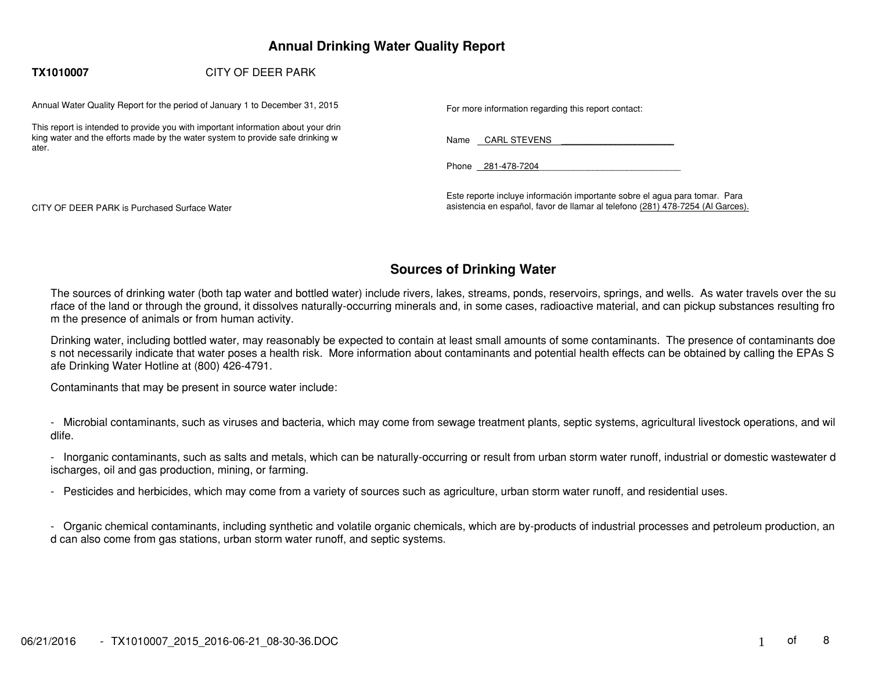# **Annual Drinking Water Quality Report**

#### **TX1010007**CITY OF DEER PARK

Annual Water Quality Report for the period of January 1 to December 31, 2015 For more information regarding this report contact:

This report is intended to provide you with important information about your drin king water and the efforts made by the water system to provide safe drinking w ater.

Name CARL STEVENS

Phone 281-478-7204

CITY OF DEER PARK is Purchased Surface Water

Este reporte incluye información importante sobre el agua para tomar. Para asistencia en español, favor de llamar al telefono (281) 478−7254 (Al Garces).

# **Sources of Drinking Water**

The sources of drinking water (both tap water and bottled water) include rivers, lakes, streams, ponds, reservoirs, springs, and wells. As water travels over the su rface of the land or through the ground, it dissolves naturally−occurring minerals and, in some cases, radioactive material, and can pickup substances resulting fro m the presence of animals or from human activity.

Drinking water, including bottled water, may reasonably be expected to contain at least small amounts of some contaminants. The presence of contaminants doe s not necessarily indicate that water poses a health risk. More information about contaminants and potential health effects can be obtained by calling the EPAs S afe Drinking Water Hotline at (800) 426−4791.

Contaminants that may be present in source water include:

− Microbial contaminants, such as viruses and bacteria, which may come from sewage treatment plants, septic systems, agricultural livestock operations, and wil dlife.

− Inorganic contaminants, such as salts and metals, which can be naturally−occurring or result from urban storm water runoff, industrial or domestic wastewater d ischarges, oil and gas production, mining, or farming.

− Pesticides and herbicides, which may come from a variety of sources such as agriculture, urban storm water runoff, and residential uses.

− Organic chemical contaminants, including synthetic and volatile organic chemicals, which are by−products of industrial processes and petroleum production, an d can also come from gas stations, urban storm water runoff, and septic systems.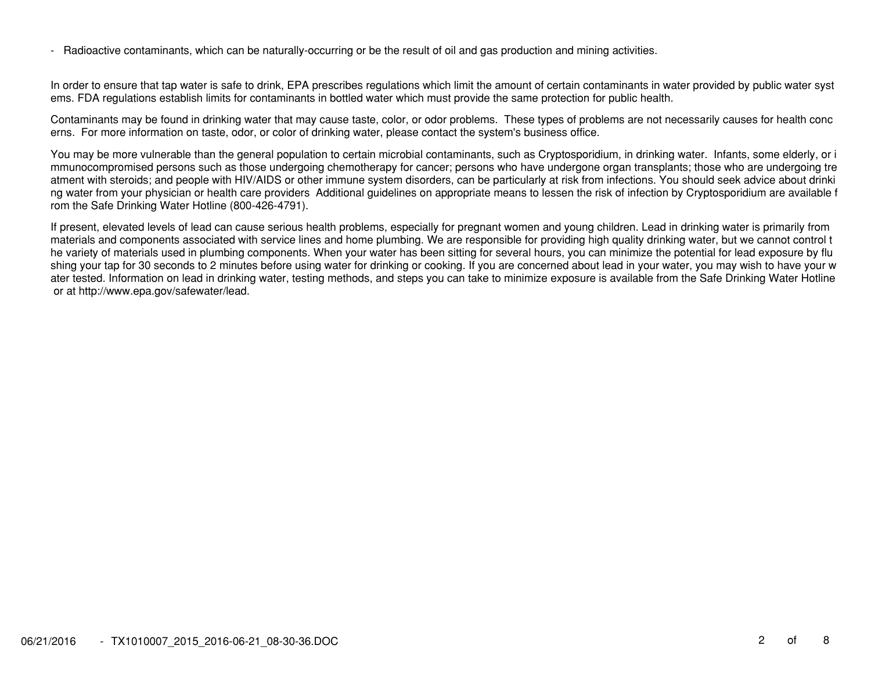− Radioactive contaminants, which can be naturally−occurring or be the result of oil and gas production and mining activities.

In order to ensure that tap water is safe to drink, EPA prescribes regulations which limit the amount of certain contaminants in water provided by public water syst ems. FDA regulations establish limits for contaminants in bottled water which must provide the same protection for public health.

Contaminants may be found in drinking water that may cause taste, color, or odor problems. These types of problems are not necessarily causes for health conc erns. For more information on taste, odor, or color of drinking water, please contact the system's business office.

You may be more vulnerable than the general population to certain microbial contaminants, such as Cryptosporidium, in drinking water. Infants, some elderly, or i mmunocompromised persons such as those undergoing chemotherapy for cancer; persons who have undergone organ transplants; those who are undergoing tre atment with steroids; and people with HIV/AIDS or other immune system disorders, can be particularly at risk from infections. You should seek advice about drinki ng water from your physician or health care providers Additional guidelines on appropriate means to lessen the risk of infection by Cryptosporidium are available f rom the Safe Drinking Water Hotline (800−426−4791).

If present, elevated levels of lead can cause serious health problems, especially for pregnant women and young children. Lead in drinking water is primarily from materials and components associated with service lines and home plumbing. We are responsible for providing high quality drinking water, but we cannot control t he variety of materials used in plumbing components. When your water has been sitting for several hours, you can minimize the potential for lead exposure by flu shing your tap for 30 seconds to 2 minutes before using water for drinking or cooking. If you are concerned about lead in your water, you may wish to have your w ater tested. Information on lead in drinking water, testing methods, and steps you can take to minimize exposure is available from the Safe Drinking Water Hotline or at http://www.epa.gov/safewater/lead.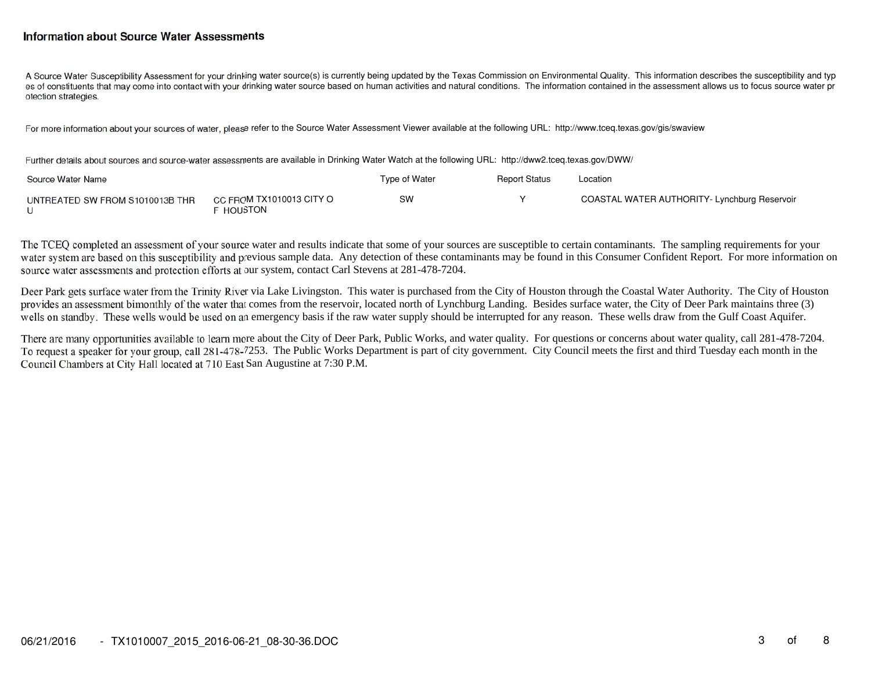### **Information about Source Water Assessments**

A Source Water Susceptibility Assessment for your drinking water source(s) is currently being updated by the Texas Commission on Environmental Quality. This information describes the susceptibility and typ es of constituents that may come into contact with your drinking water source based on human activities and natural conditions. The information contained in the assessment allows us to focus source water pr otection strategies.

For more information about your sources of water, please refer to the Source Water Assessment Viewer available at the following URL: http://www.tceq.texas.gov/gis/swaview

Further details about sources and source−water assessments are available in Drinking Water Watch at the following URL: http://dww2.tceq.texas.gov/DWW/

| Source Water Name               | Type of Water                              | <b>Report Status</b> | Location |                                              |
|---------------------------------|--------------------------------------------|----------------------|----------|----------------------------------------------|
| UNTREATED SW FROM S1010013B THR | CC FROM TX1010013 CITY O<br><b>HOUSTON</b> | SW                   |          | COASTAL WATER AUTHORITY- Lynchburg Reservoir |

The TCEQ completed an assessment of your source water and results indicate that some of your sources are susceptible to certain contaminants. The sampling requirements for your water system are based on this susceptibility and previous sample data. Any detection of these contaminants may be found in this Consumer Confident Report. For more information on source water assessments and protection efforts at our system, contact Carl Stevens at 281-478-7204.

Deer Park gets surface water from the Trinity River via Lake Livingston. This water is purchased from the City of Houston through the Coastal Water Authority. The City of Houston provides an assessment bimonthly of the water that comes from the reservoir, located north of Lynchburg Landing. Besides surface water, the City of Deer Park maintains three (3) wells on standby. These wells would be used on an emergency basis if the raw water supply should be interrupted for any reason. These wells draw from the Gulf Coast Aquifer.

There are many opportunities available to learn more about the City of Deer Park, Public Works, and water quality. For questions or concerns about water quality, call 281-478-7204. To request a speaker for your group, call 281-478-7253. The Public Works Department is part of city government. City Council meets the first and third Tuesday each month in the Council Chambers at City Hall located at 710 East San Augustine at 7:30 P.M.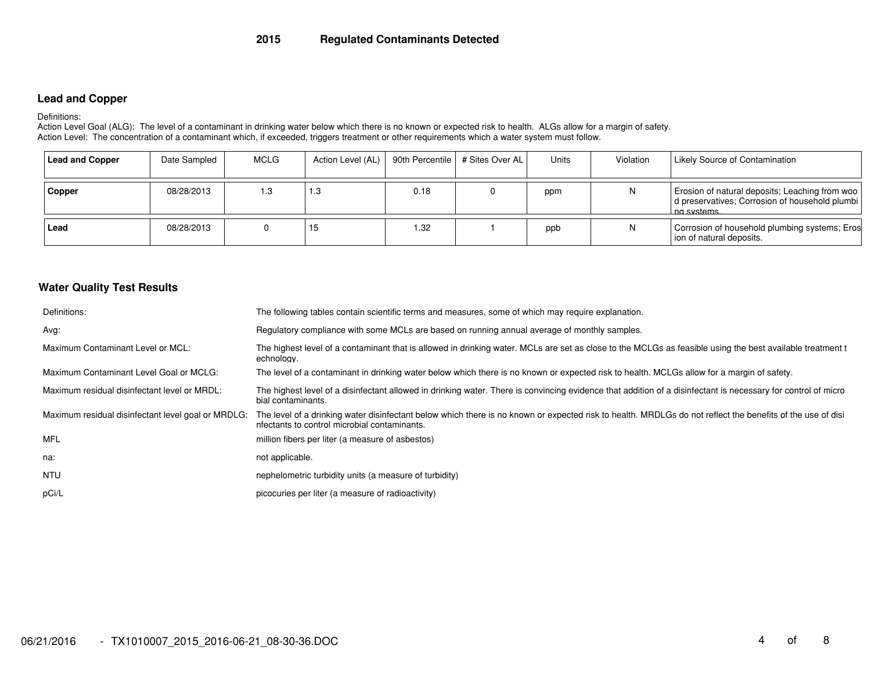# **Lead and Copper**

#### Definitions:

 Action Level Goal (ALG): The level of a contaminant in drinking water below which there is no known or expected risk to health. ALGs allow for a margin of safety. Action Level: The concentration of a contaminant which, if exceeded, triggers treatment or other requirements which a water system must follow.

| <b>Lead and Copper</b> | Date Sampled | MCLG | Action Level (AL)   90th Percentile   # Sites Over AL |      | Units | Violation | <b>Likely Source of Contamination</b>                                                                             |
|------------------------|--------------|------|-------------------------------------------------------|------|-------|-----------|-------------------------------------------------------------------------------------------------------------------|
| Copper                 | 08/28/2013   | 1.3  | 1.3                                                   | 0.18 | ppm   |           | Erosion of natural deposits; Leaching from woo<br>d preservatives; Corrosion of household plumbi<br>I na systems. |
| Lead                   | 08/28/2013   |      | 15                                                    | 1.32 | ppb   |           | Corrosion of household plumbing systems; Eros<br>ion of natural deposits.                                         |

## **Water Quality Test Results**

| Definitions:                                       | The following tables contain scientific terms and measures, some of which may require explanation.                                                                                                         |
|----------------------------------------------------|------------------------------------------------------------------------------------------------------------------------------------------------------------------------------------------------------------|
| Avg:                                               | Regulatory compliance with some MCLs are based on running annual average of monthly samples.                                                                                                               |
| Maximum Contaminant Level or MCL:                  | The highest level of a contaminant that is allowed in drinking water. MCLs are set as close to the MCLGs as feasible using the best available treatment t<br>echnology.                                    |
| Maximum Contaminant Level Goal or MCLG:            | The level of a contaminant in drinking water below which there is no known or expected risk to health. MCLGs allow for a margin of safety.                                                                 |
| Maximum residual disinfectant level or MRDL:       | The highest level of a disinfectant allowed in drinking water. There is convincing evidence that addition of a disinfectant is necessary for control of micro<br>bial contaminants.                        |
| Maximum residual disinfectant level goal or MRDLG: | The level of a drinking water disinfectant below which there is no known or expected risk to health. MRDLGs do not reflect the benefits of the use of disi<br>nfectants to control microbial contaminants. |
| MFL                                                | million fibers per liter (a measure of asbestos)                                                                                                                                                           |
| na:                                                | not applicable.                                                                                                                                                                                            |
| <b>NTU</b>                                         | nephelometric turbidity units (a measure of turbidity)                                                                                                                                                     |
| pCi/L                                              | picocuries per liter (a measure of radioactivity)                                                                                                                                                          |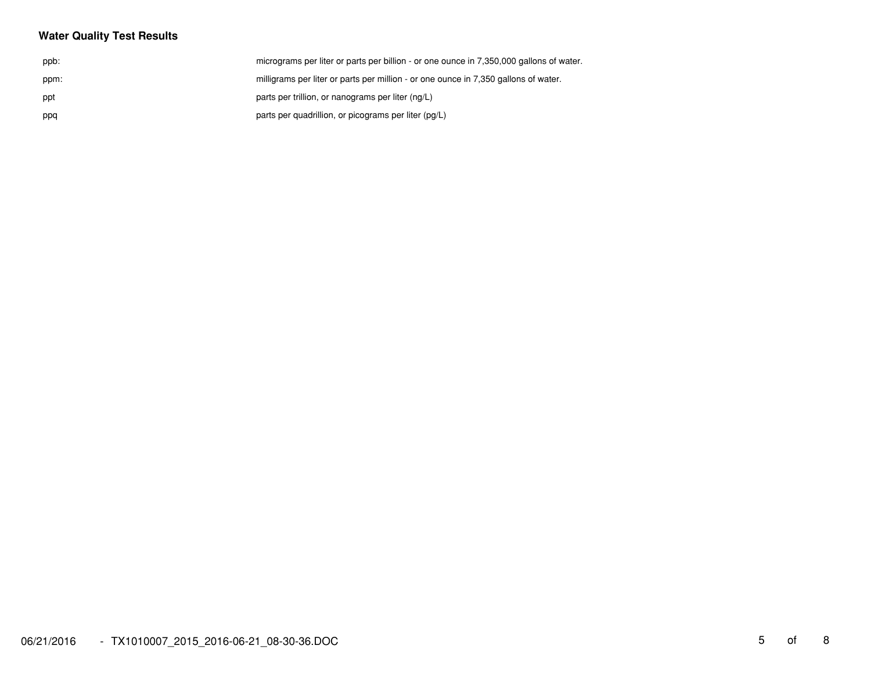# **Water Quality Test Results**

| ppb: | micrograms per liter or parts per billion - or one ounce in 7,350,000 gallons of water. |
|------|-----------------------------------------------------------------------------------------|
| ppm: | milligrams per liter or parts per million - or one ounce in 7,350 gallons of water.     |
| ppt  | parts per trillion, or nanograms per liter (ng/L)                                       |
| ppq  | parts per quadrillion, or picograms per liter (pg/L)                                    |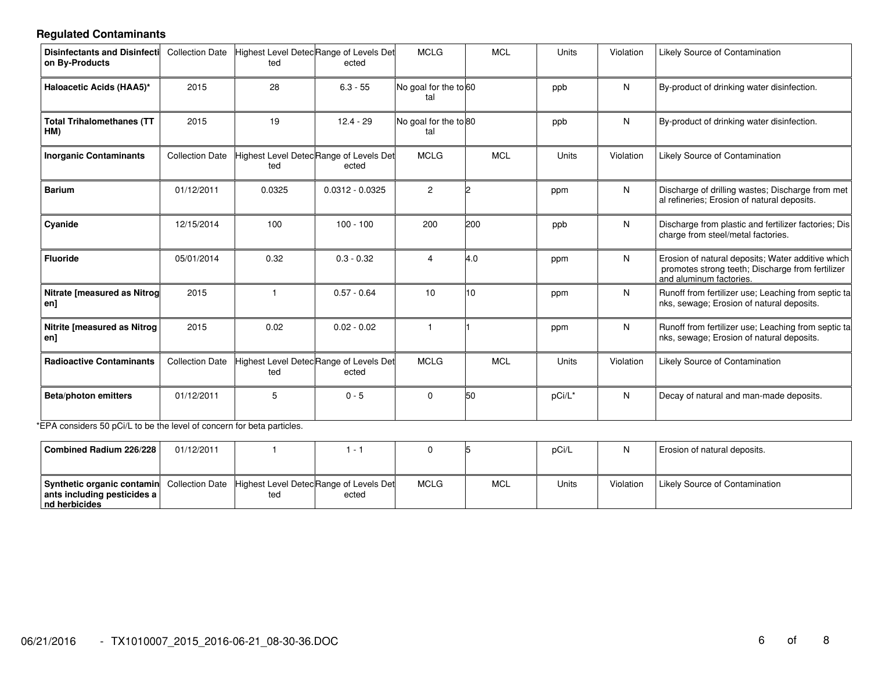# **Regulated Contaminants**

| Disinfectants and Disinfecti Collection Date<br>on By-Products                    |                        | Highest Level DetecRange of Levels Det<br>ted | ected                                            | <b>MCLG</b>                  |     | <b>MCL</b> | Units  | Violation | <b>Likely Source of Contamination</b>                                                                                            |
|-----------------------------------------------------------------------------------|------------------------|-----------------------------------------------|--------------------------------------------------|------------------------------|-----|------------|--------|-----------|----------------------------------------------------------------------------------------------------------------------------------|
| Haloacetic Acids (HAA5)*                                                          | 2015                   | 28                                            | $6.3 - 55$                                       | No goal for the to 60<br>tal |     |            | ppb    | N         | By-product of drinking water disinfection.                                                                                       |
| <b>Total Trihalomethanes (TT</b><br>HM)                                           | 2015                   | 19                                            | $12.4 - 29$                                      | No goal for the to 80<br>tal |     |            | ppb    | N         | By-product of drinking water disinfection.                                                                                       |
| <b>Inorganic Contaminants</b>                                                     | <b>Collection Date</b> | ted                                           | Highest Level Detec Range of Levels Det<br>ected | <b>MCLG</b>                  |     | <b>MCL</b> | Units  | Violation | Likely Source of Contamination                                                                                                   |
| <b>Barium</b>                                                                     | 01/12/2011             | 0.0325                                        | $0.0312 - 0.0325$                                | $\overline{2}$               |     |            | ppm    | N.        | Discharge of drilling wastes; Discharge from met<br>al refineries; Erosion of natural deposits.                                  |
| Cyanide                                                                           | 12/15/2014             | 100                                           | $100 - 100$                                      | 200                          | 200 |            | ppb    | N         | Discharge from plastic and fertilizer factories; Dis<br>charge from steel/metal factories.                                       |
| <b>Fluoride</b>                                                                   | 05/01/2014             | 0.32                                          | $0.3 - 0.32$                                     | 4                            | 4.0 |            | ppm    | N.        | Erosion of natural deposits; Water additive which<br>promotes strong teeth; Discharge from fertilizer<br>and aluminum factories. |
| <b>Nitrate [measured as Nitrog</b><br>en]                                         | 2015                   |                                               | $0.57 - 0.64$                                    | 10                           | 10  |            | ppm    | N         | Runoff from fertilizer use; Leaching from septic ta<br>nks, sewage; Erosion of natural deposits.                                 |
| <b>Nitrite [measured as Nitrog</b><br>en]                                         | 2015                   | 0.02                                          | $0.02 - 0.02$                                    | $\overline{1}$               |     |            | ppm    | N         | Runoff from fertilizer use; Leaching from septic ta<br>nks, sewage; Erosion of natural deposits.                                 |
| <b>Radioactive Contaminants</b>                                                   | <b>Collection Date</b> | ted                                           | Highest Level Detec Range of Levels Det<br>ected | <b>MCLG</b>                  |     | <b>MCL</b> | Units  | Violation | Likely Source of Contamination                                                                                                   |
| <b>Beta/photon emitters</b><br>$F \wedge \cdots \wedge T$ and the set of $\cdots$ | 01/12/2011             | 5                                             | $0 - 5$                                          | 0                            | 50  |            | pCi/L* | N         | Decay of natural and man-made deposits.                                                                                          |

\*EPA considers 50 pCi/L to be the level of concern for beta particles.

| Combined Radium 226/228                                                                                                                    | 01/12/2011 |     | . .   |             |            | pCi/L | N         | Erosion of natural deposits.   |
|--------------------------------------------------------------------------------------------------------------------------------------------|------------|-----|-------|-------------|------------|-------|-----------|--------------------------------|
| <b>Synthetic organic contamin</b> Collection Date Highest Level Detec Range of Levels Det<br>ants including pesticides a<br>Ind herbicides |            | ted | ected | <b>MCLG</b> | <b>MCL</b> | Units | Violation | Likely Source of Contamination |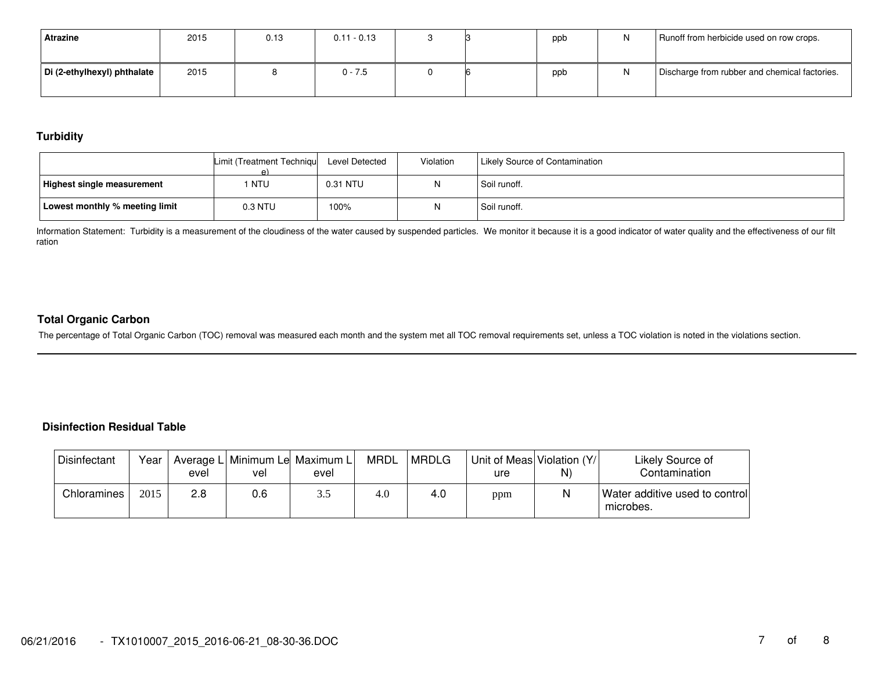| Atrazine                    | 2015 | 0.13 | $0.11 - 0.13$ |  | ppb | Runoff from herbicide used on row crops.      |
|-----------------------------|------|------|---------------|--|-----|-----------------------------------------------|
| Di (2-ethylhexyl) phthalate | 2015 |      | $0 - 7.5$     |  | ppb | Discharge from rubber and chemical factories. |

# **Turbidity**

|                                   | Limit (Treatment Techniqu<br>ρ١ | Level Detected | Violation | Likely Source of Contamination |
|-----------------------------------|---------------------------------|----------------|-----------|--------------------------------|
| <b>Highest single measurement</b> | NTU                             | 0.31 NTU       |           | Soil runoff.                   |
| Lowest monthly % meeting limit    | 0.3 NTU                         | 100%           |           | Soil runoff.                   |

Information Statement: Turbidity is a measurement of the cloudiness of the water caused by suspended particles. We monitor it because it is a good indicator of water quality and the effectiveness of our filt ration

### **Total Organic Carbon**

The percentage of Total Organic Carbon (TOC) removal was measured each month and the system met all TOC removal requirements set, unless a TOC violation is noted in the violations section.

#### **Disinfection Residual Table**

| <b>Disinfectant</b> | Year | evel | Average L Minimum Le Maximum L<br>vel | evel | <b>MRDL</b> | MRDLG | Unit of Meas Violation (Y/<br>ure | N) | Likely Source of<br>Contamination           |
|---------------------|------|------|---------------------------------------|------|-------------|-------|-----------------------------------|----|---------------------------------------------|
| Chloramines         | 2015 | 2.8  | 0.6                                   | ن. ب | 4.0         | 4.0   | ppm                               |    | Water additive used to control<br>microbes. |